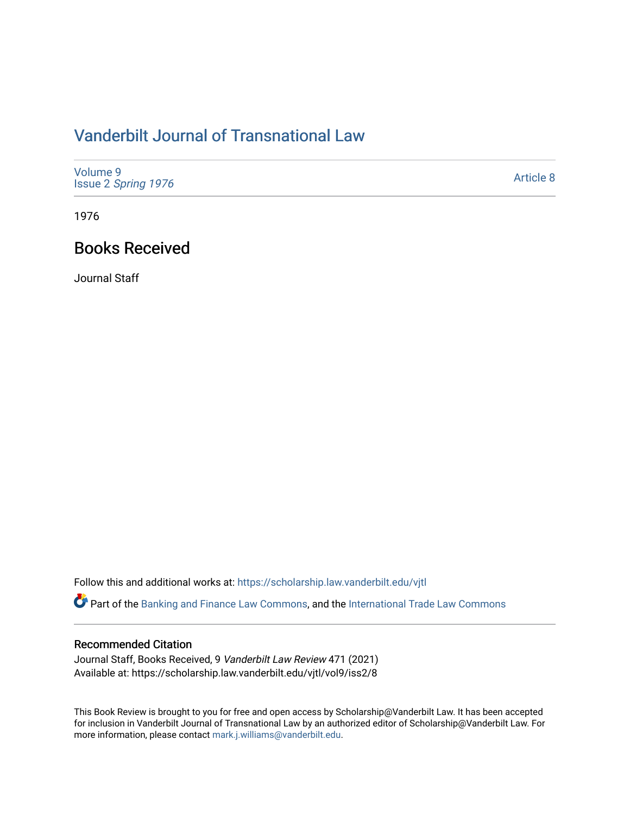## [Vanderbilt Journal of Transnational Law](https://scholarship.law.vanderbilt.edu/vjtl)

| Volume 9<br>Issue 2 Spring 1976 | Article 8 |
|---------------------------------|-----------|
|---------------------------------|-----------|

1976

## Books Received

Journal Staff

Follow this and additional works at: [https://scholarship.law.vanderbilt.edu/vjtl](https://scholarship.law.vanderbilt.edu/vjtl?utm_source=scholarship.law.vanderbilt.edu%2Fvjtl%2Fvol9%2Fiss2%2F8&utm_medium=PDF&utm_campaign=PDFCoverPages) 

Part of the [Banking and Finance Law Commons,](https://network.bepress.com/hgg/discipline/833?utm_source=scholarship.law.vanderbilt.edu%2Fvjtl%2Fvol9%2Fiss2%2F8&utm_medium=PDF&utm_campaign=PDFCoverPages) and the [International Trade Law Commons](https://network.bepress.com/hgg/discipline/848?utm_source=scholarship.law.vanderbilt.edu%2Fvjtl%2Fvol9%2Fiss2%2F8&utm_medium=PDF&utm_campaign=PDFCoverPages) 

## Recommended Citation

Journal Staff, Books Received, 9 Vanderbilt Law Review 471 (2021) Available at: https://scholarship.law.vanderbilt.edu/vjtl/vol9/iss2/8

This Book Review is brought to you for free and open access by Scholarship@Vanderbilt Law. It has been accepted for inclusion in Vanderbilt Journal of Transnational Law by an authorized editor of Scholarship@Vanderbilt Law. For more information, please contact [mark.j.williams@vanderbilt.edu](mailto:mark.j.williams@vanderbilt.edu).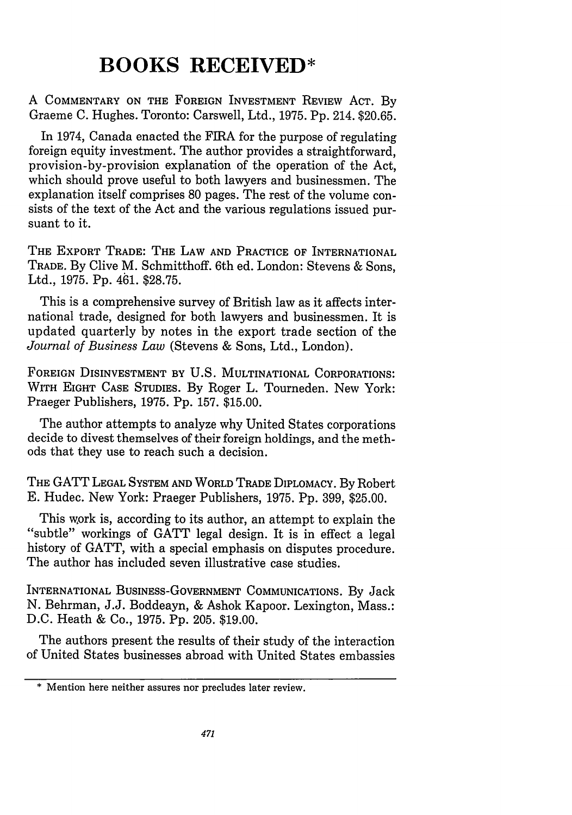## **BOOKS RECEIVED\***

**A COMMENTARY ON THE FOREIGN INVESTMENT REVIEW ACT. By** Graeme **C.** Hughes. Toronto: Carswell, Ltd., **1975. Pp.** 214. **\$20.65.**

In 1974, Canada enacted the FIRA for the purpose of regulating foreign equity investment. The author provides a straightforward, provision-by-provision explanation of the operation of the Act, which should prove useful to both lawyers and businessmen. The explanation itself comprises **80** pages. The rest of the volume consists of the text of the Act and the various regulations issued pursuant to it.

**THE EXPORT TRADE: THE LAW AND PRACTICE OF INTERNATIONAL TRADE. By** Clive M. Schmitthoff. 6th ed. London: Stevens & Sons, Ltd., **1975. Pp.** 461. **\$28.75.**

This is a comprehensive survey of British law as it affects international trade, designed for both lawyers and businessmen. It is updated quarterly by notes in the export trade section of the *Journal of Business Law* (Stevens & Sons, Ltd., London).

**FOREIGN** DISINVESTMENT BY U.S. MULTINATIONAL CORPORATIONS: WITH **EIGHT CASE** STUDIES. By Roger L. Tourneden. New York: Praeger Publishers, 1975. Pp. 157. \$15.00.

The author attempts to analyze why United States corporations decide to divest themselves of their foreign holdings, and the methods that they use to reach such a decision.

THE GATT **LEGAL SYSTEM AND** WORLD TRADE **DIPLOMACY.** By Robert E. Hudec. New York: Praeger Publishers, 1975. Pp. 399, \$25.00.

This work is, according to its author, an attempt to explain the "subtle" workings of GATT legal design. It is in effect a legal history of GATT, with a special emphasis on disputes procedure. The author has included seven illustrative case studies.

INTERNATIONAL **BUSINESS-GOVERNMENT COMMUNICATIONS.** By Jack N. Behrman, J.J. Boddeayn, & Ashok Kapoor. Lexington, Mass.: D.C. Heath & Co., 1975. Pp. 205. \$19.00.

The authors present the results of their study of the interaction of United States businesses abroad with United States embassies

<sup>\*</sup> Mention here neither assures nor precludes later review.